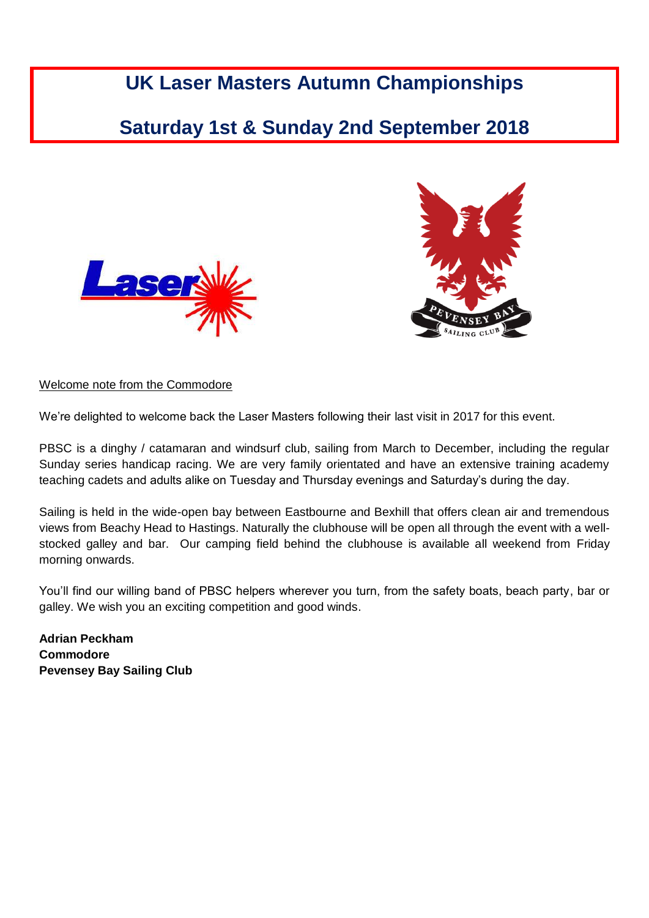# **UK Laser Masters Autumn Championships**

# **Saturday 1st & Sunday 2nd September 2018**





## Welcome note from the Commodore

We're delighted to welcome back the Laser Masters following their last visit in 2017 for this event.

PBSC is a dinghy / catamaran and windsurf club, sailing from March to December, including the regular Sunday series handicap racing. We are very family orientated and have an extensive training academy teaching cadets and adults alike on Tuesday and Thursday evenings and Saturday's during the day.

Sailing is held in the wide-open bay between Eastbourne and Bexhill that offers clean air and tremendous views from Beachy Head to Hastings. Naturally the clubhouse will be open all through the event with a wellstocked galley and bar. Our camping field behind the clubhouse is available all weekend from Friday morning onwards.

You'll find our willing band of PBSC helpers wherever you turn, from the safety boats, beach party, bar or galley. We wish you an exciting competition and good winds.

**Adrian Peckham Commodore Pevensey Bay Sailing Club** Cc<br>Pe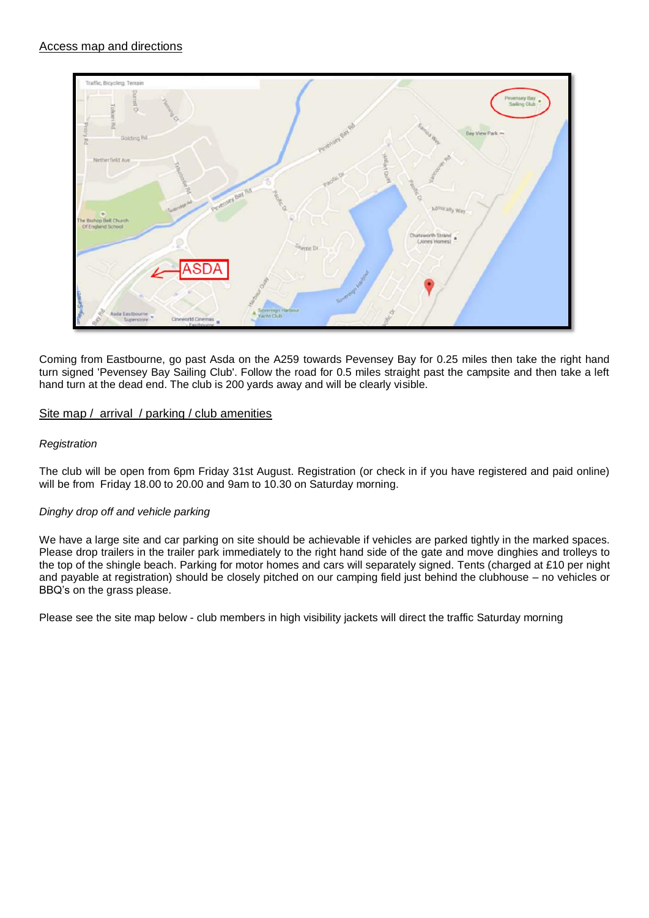

Coming from Eastbourne, go past Asda on the A259 towards Pevensey Bay for 0.25 miles then take the right hand turn signed 'Pevensey Bay Sailing Club'. Follow the road for 0.5 miles straight past the campsite and then take a left hand turn at the dead end. The club is 200 yards away and will be clearly visible.

## Site map / arrival / parking / club amenities

## *Registration*

The club will be open from 6pm Friday 31st August. Registration (or check in if you have registered and paid online) will be from Friday 18.00 to 20.00 and 9am to 10.30 on Saturday morning.

### *Dinghy drop off and vehicle parking*

We have a large site and car parking on site should be achievable if vehicles are parked tightly in the marked spaces. Please drop trailers in the trailer park immediately to the right hand side of the gate and move dinghies and trolleys to the top of the shingle beach. Parking for motor homes and cars will separately signed. Tents (charged at £10 per night and payable at registration) should be closely pitched on our camping field just behind the clubhouse – no vehicles or BBQ's on the grass please.

Please see the site map below - club members in high visibility jackets will direct the traffic Saturday morning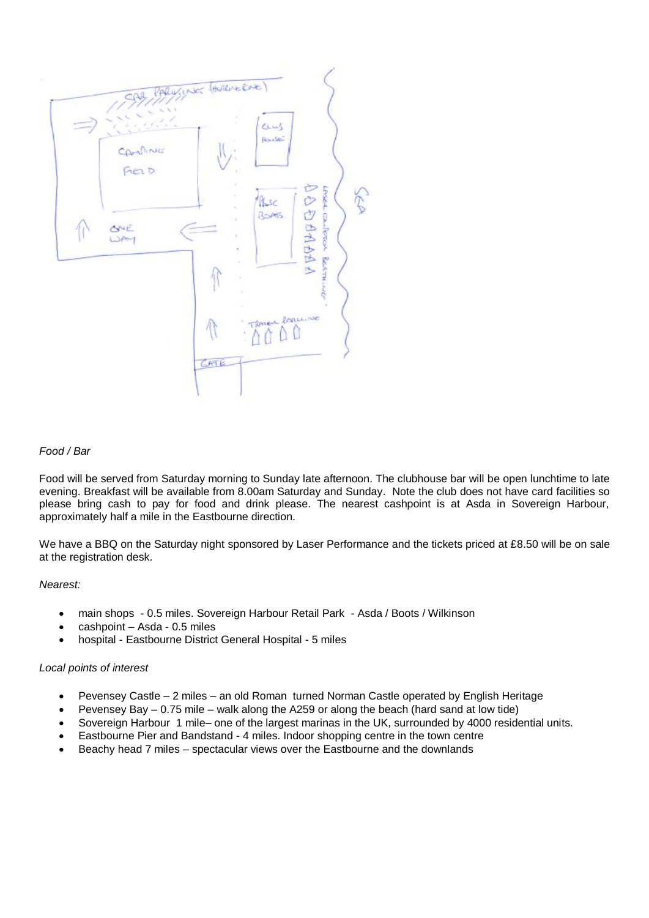

#### *Food / Bar*

Food will be served from Saturday morning to Sunday late afternoon. The clubhouse bar will be open lunchtime to late evening. Breakfast will be available from 8.00am Saturday and Sunday. Note the club does not have card facilities so please bring cash to pay for food and drink please. The nearest cashpoint is at Asda in Sovereign Harbour, approximately half a mile in the Eastbourne direction.

We have a BBQ on the Saturday night sponsored by Laser Performance and the tickets priced at £8.50 will be on sale at the registration desk.

*Nearest:*

- main shops 0.5 miles. Sovereign Harbour Retail Park Asda / Boots / Wilkinson
- cashpoint Asda 0.5 miles
- hospital Eastbourne District General Hospital 5 miles

#### *Local points of interest*

- Pevensey Castle 2 miles an old Roman turned Norman Castle operated by English Heritage
- Pevensey Bay 0.75 mile walk along the A259 or along the beach (hard sand at low tide)
- Sovereign Harbour 1 mile– one of the largest marinas in the UK, surrounded by 4000 residential units.
- Eastbourne Pier and Bandstand 4 miles. Indoor shopping centre in the town centre
- Beachy head 7 miles spectacular views over the Eastbourne and the downlands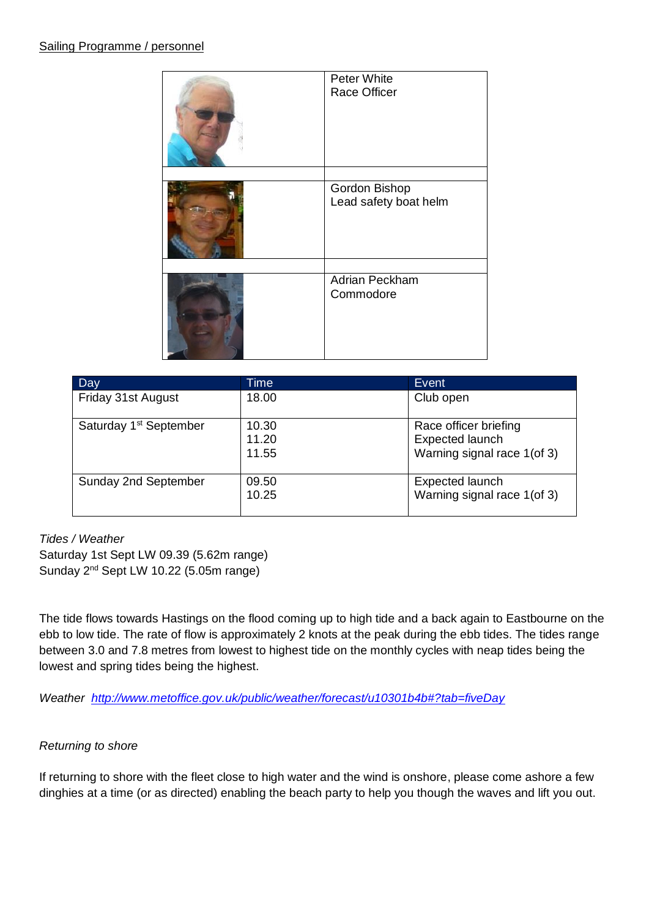| Peter White<br>Race Officer            |
|----------------------------------------|
|                                        |
| Gordon Bishop<br>Lead safety boat helm |
|                                        |
| Adrian Peckham<br>Commodore            |

| Day                                | Time                    | Event                                                                          |
|------------------------------------|-------------------------|--------------------------------------------------------------------------------|
| Friday 31st August                 | 18.00                   | Club open                                                                      |
| Saturday 1 <sup>st</sup> September | 10.30<br>11.20<br>11.55 | Race officer briefing<br><b>Expected launch</b><br>Warning signal race 1(of 3) |
| Sunday 2nd September               | 09.50<br>10.25          | Expected launch<br>Warning signal race 1(of 3)                                 |

# *Tides / Weather*

Saturday 1st Sept LW 09.39 (5.62m range) Sunday 2<sup>nd</sup> Sept LW 10.22 (5.05m range)

The tide flows towards Hastings on the flood coming up to high tide and a back again to Eastbourne on the ebb to low tide. The rate of flow is approximately 2 knots at the peak during the ebb tides. The tides range between 3.0 and 7.8 metres from lowest to highest tide on the monthly cycles with neap tides being the lowest and spring tides being the highest.

*Weather <http://www.metoffice.gov.uk/public/weather/forecast/u10301b4b#?tab=fiveDay>*

# *Returning to shore*

If returning to shore with the fleet close to high water and the wind is onshore, please come ashore a few dinghies at a time (or as directed) enabling the beach party to help you though the waves and lift you out.